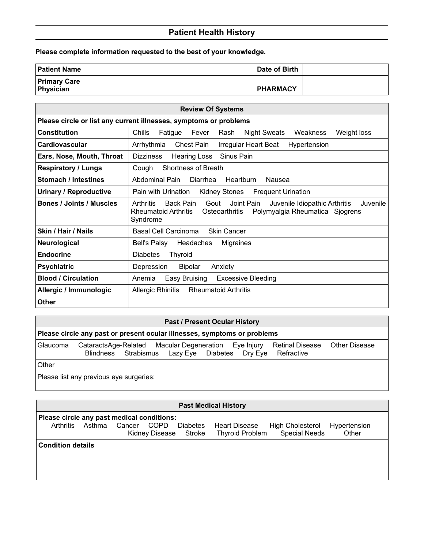## **Patient Health History**

**Please complete information requested to the best of your knowledge.**

| <b>Patient Name</b>              | Date of Birth   |  |
|----------------------------------|-----------------|--|
| <b>Primary Care</b><br>Physician | <b>PHARMACY</b> |  |

| <b>Review Of Systems</b>                                          |                                                                                                                                                                                           |  |  |  |  |  |
|-------------------------------------------------------------------|-------------------------------------------------------------------------------------------------------------------------------------------------------------------------------------------|--|--|--|--|--|
| Please circle or list any current illnesses, symptoms or problems |                                                                                                                                                                                           |  |  |  |  |  |
| <b>Constitution</b>                                               | Chills<br>Fatigue<br>Night Sweats<br>Weight loss<br>Fever<br>Rash<br>Weakness                                                                                                             |  |  |  |  |  |
| <b>Cardiovascular</b>                                             | Arrhythmia<br><b>Chest Pain</b><br>Irregular Heart Beat<br>Hypertension                                                                                                                   |  |  |  |  |  |
| Ears, Nose, Mouth, Throat                                         | <b>Dizziness</b><br>Hearing Loss<br>Sinus Pain                                                                                                                                            |  |  |  |  |  |
| <b>Respiratory / Lungs</b>                                        | <b>Shortness of Breath</b><br>Cough                                                                                                                                                       |  |  |  |  |  |
| <b>Stomach / Intestines</b>                                       | Abdominal Pain<br>Heartburn<br>Diarrhea<br>Nausea                                                                                                                                         |  |  |  |  |  |
| <b>Urinary / Reproductive</b>                                     | Pain with Urination<br><b>Kidney Stones</b><br><b>Frequent Urination</b>                                                                                                                  |  |  |  |  |  |
| <b>Bones / Joints / Muscles</b>                                   | Juvenile<br>Arthritis<br>Back Pain<br>Gout<br>Joint Pain<br>Juvenile Idiopathic Arthritis<br>Polymyalgia Rheumatica Sjogrens<br><b>Rheumatoid Arthritis</b><br>Osteoarthritis<br>Syndrome |  |  |  |  |  |
| Skin / Hair / Nails                                               | <b>Basal Cell Carcinoma</b><br><b>Skin Cancer</b>                                                                                                                                         |  |  |  |  |  |
| Neurological                                                      | <b>Bell's Palsy</b><br>Headaches<br>Migraines                                                                                                                                             |  |  |  |  |  |
| <b>Endocrine</b>                                                  | <b>Diabetes</b><br><b>Thyroid</b>                                                                                                                                                         |  |  |  |  |  |
| <b>Psychiatric</b>                                                | Depression<br><b>Bipolar</b><br>Anxiety                                                                                                                                                   |  |  |  |  |  |
| <b>Blood / Circulation</b>                                        | Easy Bruising<br><b>Excessive Bleeding</b><br>Anemia                                                                                                                                      |  |  |  |  |  |
| Allergic / Immunologic                                            | Allergic Rhinitis<br><b>Rheumatoid Arthritis</b>                                                                                                                                          |  |  |  |  |  |
| <b>Other</b>                                                      |                                                                                                                                                                                           |  |  |  |  |  |

## **Past / Present Ocular History Please circle any past or present ocular illnesses, symptoms or problems** Glaucoma CataractsAge-Related Macular Degeneration Eye Injury Retinal Disease Other Disease Blindness Strabismus Lazy Eye Diabetes Dry Eye Refractive **Other** Please list any previous eye surgeries:

| <b>Past Medical History</b>                |                                                                                                                                                                                                       |  |  |  |  |  |  |
|--------------------------------------------|-------------------------------------------------------------------------------------------------------------------------------------------------------------------------------------------------------|--|--|--|--|--|--|
| Please circle any past medical conditions: |                                                                                                                                                                                                       |  |  |  |  |  |  |
| <b>Arthritis</b>                           | Asthma<br>Cancer<br><b>COPD</b><br><b>Diabetes</b><br><b>Heart Disease</b><br>High Cholesterol<br>Hypertension<br><b>Special Needs</b><br>Other<br><b>Thyroid Problem</b><br>Kidney Disease<br>Stroke |  |  |  |  |  |  |
| <b>Condition details</b>                   |                                                                                                                                                                                                       |  |  |  |  |  |  |
|                                            |                                                                                                                                                                                                       |  |  |  |  |  |  |
|                                            |                                                                                                                                                                                                       |  |  |  |  |  |  |